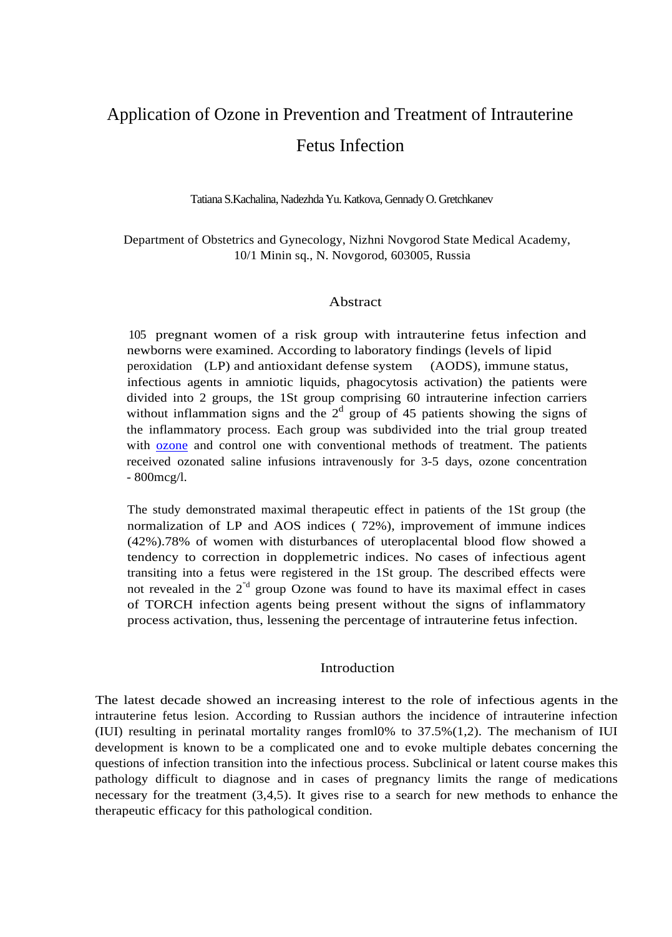# Application of Ozone in Prevention and Treatment of Intrauterine Fetus Infection

Tatiana S.Kachalina, Nadezhda Yu. Katkova, Gennady O. Gretchkanev

Department of Obstetrics and Gynecology, Nizhni Novgorod State Medical Academy, 10/1 Minin sq., N. Novgorod, 603005, Russia

#### Abstract

105 pregnant women of a risk group with intrauterine fetus infection and newborns were examined. According to laboratory findings (levels of lipid peroxidation (LP) and antioxidant defense system (AODS), immune status, infectious agents in amniotic liquids, phagocytosis activation) the patients were divided into 2 groups, the 1St group comprising 60 intrauterine infection carriers without inflammation signs and the  $2<sup>d</sup>$  group of 45 patients showing the signs of the inflammatory process. Each group was subdivided into the trial group treated with <u>ozone</u> and control one with conventional methods of treatment. The patients received ozonated saline infusions intravenously for 3-5 days, ozone concentration - 800mcg/l.

The study demonstrated maximal therapeutic effect in patients of the 1St group (the normalization of LP and AOS indices ( 72%), improvement of immune indices (42%).78% of women with disturbances of uteroplacental blood flow showed a tendency to correction in dopplemetric indices. No cases of infectious agent transiting into a fetus were registered in the 1St group. The described effects were not revealed in the  $2<sup>nd</sup>$  group Ozone was found to have its maximal effect in cases of TORCH infection agents being present without the signs of inflammatory process activation, thus, lessening the percentage of intrauterine fetus infection.

#### Introduction

The latest decade showed an increasing interest to the role of infectious agents in the intrauterine fetus lesion. According to Russian authors the incidence of intrauterine infection (IUI) resulting in perinatal mortality ranges froml0% to 37.5%(1,2). The mechanism of IUI development is known to be a complicated one and to evoke multiple debates concerning the questions of infection transition into the infectious process. Subclinical or latent course makes this pathology difficult to diagnose and in cases of pregnancy limits the range of medications necessary for the treatment (3,4,5). It gives rise to a search for new methods to enhance the therapeutic efficacy for this pathological condition.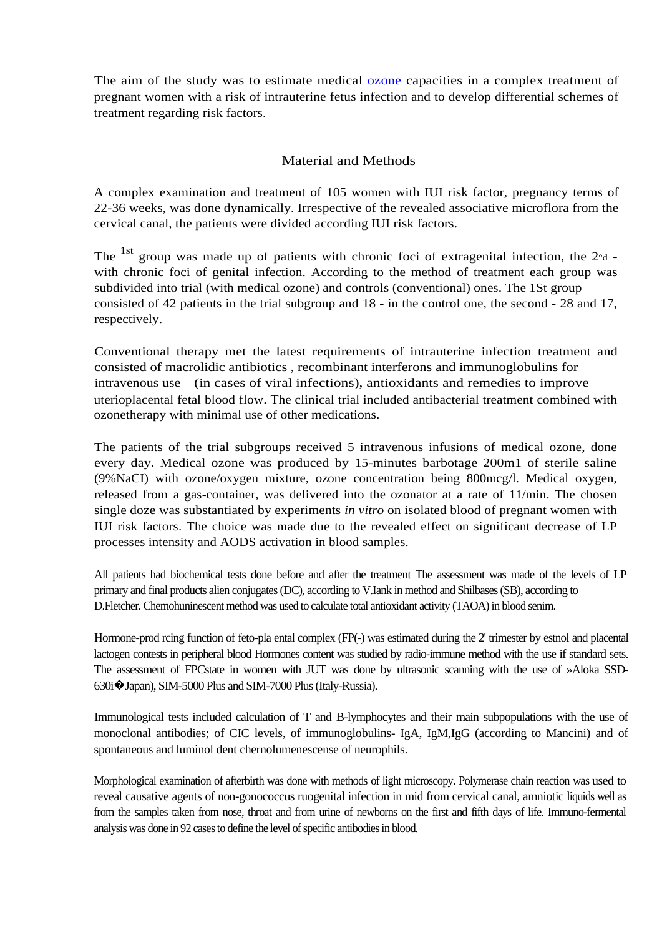The aim of the study was to estimate medical <u>ozone</u> capacities in a complex treatment of pregnant women with a risk of intrauterine fetus infection and to develop differential schemes of treatment regarding risk factors.

# Material and Methods

A complex examination and treatment of 105 women with IUI risk factor, pregnancy terms of 22-36 weeks, was done dynamically. Irrespective of the revealed associative microflora from the cervical canal, the patients were divided according IUI risk factors.

The <sup>1st</sup> group was made up of patients with chronic foci of extragenital infection, the  $2<sup>o</sup>d$  with chronic foci of genital infection. According to the method of treatment each group was subdivided into trial (with medical ozone) and controls (conventional) ones. The 1St group consisted of 42 patients in the trial subgroup and 18 - in the control one, the second - 28 and 17, respectively.

Conventional therapy met the latest requirements of intrauterine infection treatment and consisted of macrolidic antibiotics , recombinant interferons and immunoglobulins for intravenous use (in cases of viral infections), antioxidants and remedies to improve uterioplacental fetal blood flow. The clinical trial included antibacterial treatment combined with ozonetherapy with minimal use of other medications.

The patients of the trial subgroups received 5 intravenous infusions of medical ozone, done every day. Medical ozone was produced by 15-minutes barbotage 200m1 of sterile saline (9%NaCI) with ozone/oxygen mixture, ozone concentration being 800mcg/l. Medical oxygen, released from a gas-container, was delivered into the ozonator at a rate of 11/min. The chosen single doze was substantiated by experiments *in vitro* on isolated blood of pregnant women with IUI risk factors. The choice was made due to the revealed effect on significant decrease of LP processes intensity and AODS activation in blood samples.

All patients had biochemical tests done before and after the treatment The assessment was made of the levels of LP primary and final products alien conjugates (DC), according to V.Iank in method and Shilbases (SB), according to D.Fletcher. Chemohuninescent method was used to calculate total antioxidant activity (TAOA) in blood senim.

Hormone-prod rcing function of feto-pla ental complex (FP(-) was estimated during the 2' trimester by estnol and placental lactogen contests in peripheral blood Hormones content was studied by radio-immune method with the use if standard sets. The assessment of FPCstate in women with JUT was done by ultrasonic scanning with the use of »Aloka SSD-630i�Japan), SIM-5000 Plus and SIM-7000 Plus (Italy-Russia).

Immunological tests included calculation of T and B-lymphocytes and their main subpopulations with the use of monoclonal antibodies; of CIC levels, of immunoglobulins- IgA, IgM,IgG (according to Mancini) and of spontaneous and luminol dent chernolumenescense of neurophils.

Morphological examination of afterbirth was done with methods of light microscopy. Polymerase chain reaction was used to reveal causative agents of non-gonococcus ruogenital infection in mid from cervical canal, amniotic liquids well as from the samples taken from nose, throat and from urine of newborns on the first and fifth days of life. Immuno-fermental analysis was done in 92 cases to define the level of specific antibodies in blood.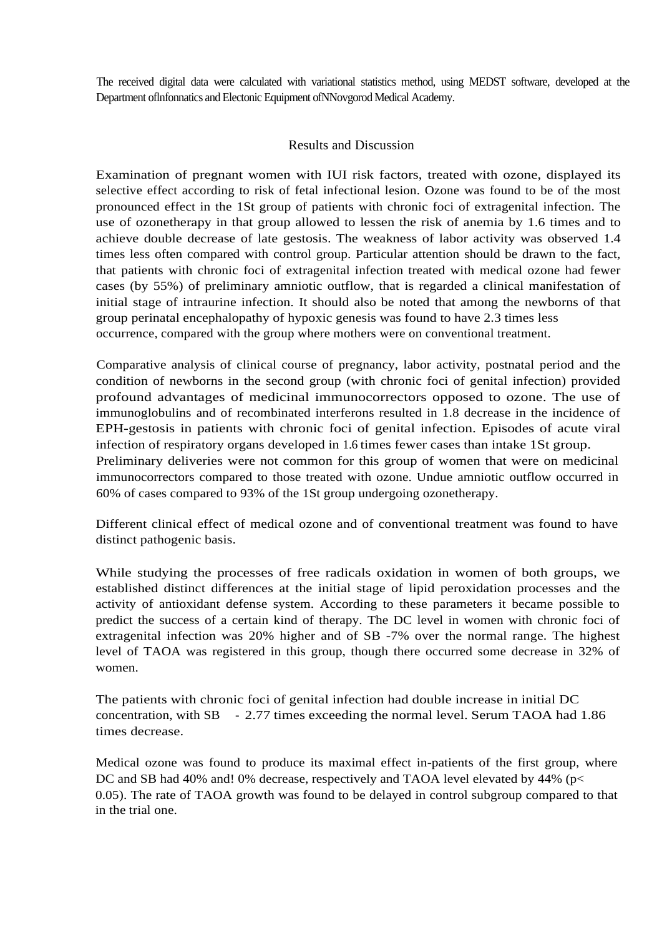The received digital data were calculated with variational statistics method, using MEDST software, developed at the Department oflnfonnatics and Electonic Equipment ofNNovgorod Medical Academy.

### Results and Discussion

Examination of pregnant women with IUI risk factors, treated with ozone, displayed its selective effect according to risk of fetal infectional lesion. Ozone was found to be of the most pronounced effect in the 1St group of patients with chronic foci of extragenital infection. The use of ozonetherapy in that group allowed to lessen the risk of anemia by 1.6 times and to achieve double decrease of late gestosis. The weakness of labor activity was observed 1.4 times less often compared with control group. Particular attention should be drawn to the fact, that patients with chronic foci of extragenital infection treated with medical ozone had fewer cases (by 55%) of preliminary amniotic outflow, that is regarded a clinical manifestation of initial stage of intraurine infection. It should also be noted that among the newborns of that group perinatal encephalopathy of hypoxic genesis was found to have 2.3 times less occurrence, compared with the group where mothers were on conventional treatment.

Comparative analysis of clinical course of pregnancy, labor activity, postnatal period and the condition of newborns in the second group (with chronic foci of genital infection) provided profound advantages of medicinal immunocorrectors opposed to ozone. The use of immunoglobulins and of recombinated interferons resulted in 1.8 decrease in the incidence of EPH-gestosis in patients with chronic foci of genital infection. Episodes of acute viral infection of respiratory organs developed in 1.6 times fewer cases than intake 1St group. Preliminary deliveries were not common for this group of women that were on medicinal

immunocorrectors compared to those treated with ozone. Undue amniotic outflow occurred in 60% of cases compared to 93% of the 1St group undergoing ozonetherapy.

Different clinical effect of medical ozone and of conventional treatment was found to have distinct pathogenic basis.

While studying the processes of free radicals oxidation in women of both groups, we established distinct differences at the initial stage of lipid peroxidation processes and the activity of antioxidant defense system. According to these parameters it became possible to predict the success of a certain kind of therapy. The DC level in women with chronic foci of extragenital infection was 20% higher and of SB -7% over the normal range. The highest level of TAOA was registered in this group, though there occurred some decrease in 32% of women.

The patients with chronic foci of genital infection had double increase in initial DC concentration, with SB - 2.77 times exceeding the normal level. Serum TAOA had 1.86 times decrease.

Medical ozone was found to produce its maximal effect in-patients of the first group, where DC and SB had 40% and! 0% decrease, respectively and TAOA level elevated by 44% (p< 0.05). The rate of TAOA growth was found to be delayed in control subgroup compared to that in the trial one.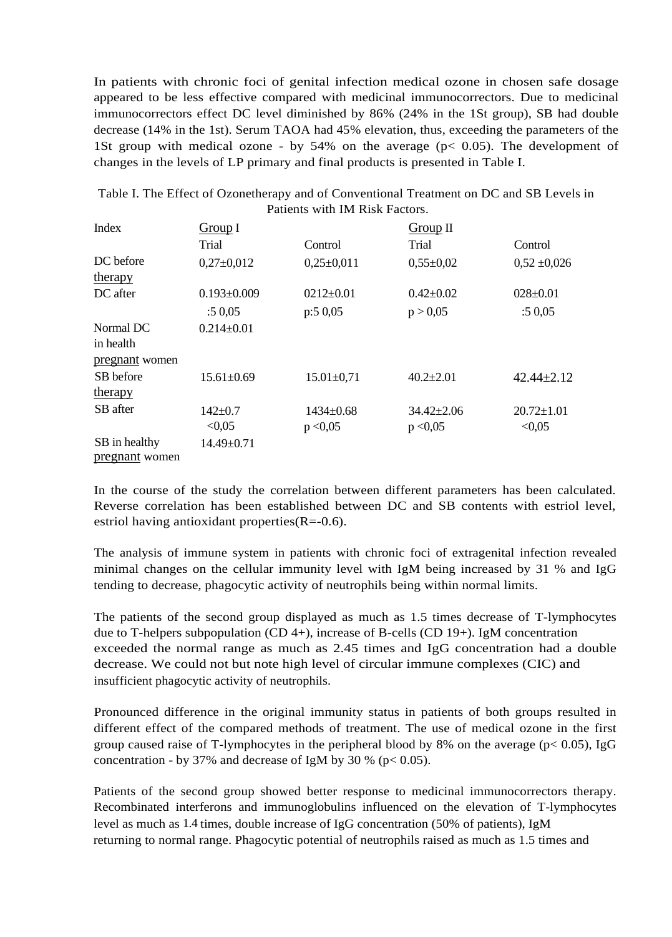In patients with chronic foci of genital infection medical ozone in chosen safe dosage appeared to be less effective compared with medicinal immunocorrectors. Due to medicinal immunocorrectors effect DC level diminished by 86% (24% in the 1St group), SB had double decrease (14% in the 1st). Serum TAOA had 45% elevation, thus, exceeding the parameters of the 1St group with medical ozone - by 54% on the average (p< 0.05). The development of changes in the levels of LP primary and final products is presented in Table I.

| Index          | Group I           |                  | Group II         |                  |  |
|----------------|-------------------|------------------|------------------|------------------|--|
|                | Trial             | Control          | Trial            | Control          |  |
| DC before      | $0,27\pm0,012$    | $0,25\pm0,011$   | $0,55 \pm 0.02$  | $0,52 \pm 0,026$ |  |
| therapy        |                   |                  |                  |                  |  |
| DC after       | $0.193 \pm 0.009$ | $0212 \pm 0.01$  | $0.42 \pm 0.02$  | $028 \pm 0.01$   |  |
|                | :50,05            | p:50,05          | p > 0,05         | :50,05           |  |
| Normal DC      | $0.214 \pm 0.01$  |                  |                  |                  |  |
| in health      |                   |                  |                  |                  |  |
| pregnant women |                   |                  |                  |                  |  |
| SB before      | $15.61 \pm 0.69$  | $15.01 \pm 0.71$ | $40.2 \pm 2.01$  | $42.44 \pm 2.12$ |  |
| <u>therapy</u> |                   |                  |                  |                  |  |
| SB after       | $142 \pm 0.7$     | $1434 \pm 0.68$  | $34.42 \pm 2.06$ | $20.72 \pm 1.01$ |  |
|                | < 0.05            | p < 0.05         | p < 0.05         | < 0.05           |  |
| SB in healthy  | $14.49 \pm 0.71$  |                  |                  |                  |  |
| pregnant women |                   |                  |                  |                  |  |

Table I. The Effect of Ozonetherapy and of Conventional Treatment on DC and SB Levels in Patients with IM Risk Factors.

In the course of the study the correlation between different parameters has been calculated. Reverse correlation has been established between DC and SB contents with estriol level, estriol having antioxidant properties $(R=0.6)$ .

The analysis of immune system in patients with chronic foci of extragenital infection revealed minimal changes on the cellular immunity level with IgM being increased by 31 % and IgG tending to decrease, phagocytic activity of neutrophils being within normal limits.

The patients of the second group displayed as much as 1.5 times decrease of T-lymphocytes due to T-helpers subpopulation (CD 4+), increase of B-cells (CD 19+). IgM concentration exceeded the normal range as much as 2.45 times and IgG concentration had a double decrease. We could not but note high level of circular immune complexes (CIC) and insufficient phagocytic activity of neutrophils.

Pronounced difference in the original immunity status in patients of both groups resulted in different effect of the compared methods of treatment. The use of medical ozone in the first group caused raise of T-lymphocytes in the peripheral blood by 8% on the average ( $p < 0.05$ ), IgG concentration - by 37% and decrease of IgM by 30 % ( $p < 0.05$ ).

Patients of the second group showed better response to medicinal immunocorrectors therapy. Recombinated interferons and immunoglobulins influenced on the elevation of T-lymphocytes level as much as 1.4 times, double increase of IgG concentration (50% of patients), IgM returning to normal range. Phagocytic potential of neutrophils raised as much as 1.5 times and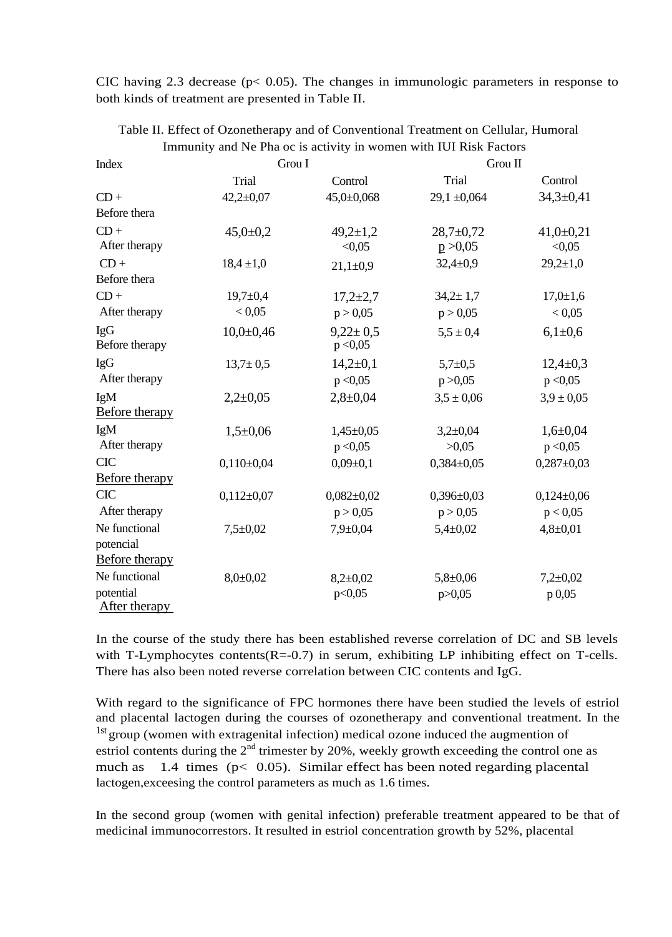CIC having 2.3 decrease ( $p < 0.05$ ). The changes in immunologic parameters in response to both kinds of treatment are presented in Table II.

| Index                      | Grou I          |                            | Grou II          |                |
|----------------------------|-----------------|----------------------------|------------------|----------------|
|                            | Trial           | Control                    | Trial            | Control        |
| $CD +$                     | $42,2 \pm 0,07$ | $45,0+0,068$               | $29,1 \pm 0,064$ | $34,3+0,41$    |
| Before thera               |                 |                            |                  |                |
| $CD +$                     | $45,0{\pm}0,2$  | $49,2 \pm 1,2$             | $28,7+0,72$      | $41,0+0,21$    |
| After therapy              |                 | < 0.05                     | p > 0,05         | < 0.05         |
| $CD +$                     | $18,4 \pm 1,0$  | $21,1\pm0,9$               | $32,4+0,9$       | $29,2{\pm}1,0$ |
| Before thera               |                 |                            |                  |                |
| $CD +$                     | $19,7 \pm 0,4$  | $17,2{\pm}2,7$             | $34,2 \pm 1,7$   | $17,0{\pm}1,6$ |
| After therapy              | < 0.05          | p > 0,05                   | p > 0,05         | < 0.05         |
| IgG<br>Before therapy      | $10,0+0,46$     | $9,22 \pm 0.5$<br>p < 0.05 | $5.5 \pm 0.4$    | $6,1\pm0,6$    |
| IgG                        | $13,7 \pm 0,5$  | $14,2{\pm}0,1$             | $5,7+0,5$        | $12,4+0,3$     |
| After therapy              |                 | p < 0.05                   | p > 0,05         | p < 0.05       |
| IgM                        | $2,2+0,05$      | $2,8+0,04$                 | $3,5 \pm 0,06$   | $3.9 \pm 0.05$ |
| <b>Before therapy</b>      |                 |                            |                  |                |
| IgM                        | $1,5+0,06$      | $1,45 \pm 0,05$            | $3,2{\pm}0,04$   | $1,6+0,04$     |
| After therapy              |                 | p < 0.05                   | >0,05            | p < 0.05       |
| <b>CIC</b>                 | $0,110\pm0.04$  | $0,09 \pm 0,1$             | $0,384\pm0,05$   | $0,287+0,03$   |
| <b>Before therapy</b>      |                 |                            |                  |                |
| <b>CIC</b>                 | $0,112\pm0,07$  | $0,082{\pm}0,02$           | $0,396 \pm 0,03$ | $0,124\pm0,06$ |
| After therapy              |                 | p > 0,05                   | p > 0,05         | p < 0,05       |
| Ne functional              | $7,5+0,02$      | $7,9+0,04$                 | $5,4 \pm 0.02$   | $4,8 \pm 0.01$ |
| potencial                  |                 |                            |                  |                |
| Before therapy             |                 |                            |                  |                |
| Ne functional              | $8,0 \pm 0,02$  | $8,2{\pm}0,02$             | $5,8+0,06$       | $7,2{\pm}0,02$ |
| potential<br>After therapy |                 | p<0,05                     | p > 0,05         | p 0,05         |

Table II. Effect of Ozonetherapy and of Conventional Treatment on Cellular, Humoral Immunity and Ne Pha oc is activity in women with IUI Risk Factors

In the course of the study there has been established reverse correlation of DC and SB levels with T-Lymphocytes contents $(R=0.7)$  in serum, exhibiting LP inhibiting effect on T-cells. There has also been noted reverse correlation between CIC contents and IgG.

With regard to the significance of FPC hormones there have been studied the levels of estriol and placental lactogen during the courses of ozonetherapy and conventional treatment. In the 1st group (women with extragenital infection) medical ozone induced the augmention of estriol contents during the  $2<sup>nd</sup>$  trimester by 20%, weekly growth exceeding the control one as much as 1.4 times ( $p < 0.05$ ). Similar effect has been noted regarding placental lactogen,exceesing the control parameters as much as 1.6 times.

In the second group (women with genital infection) preferable treatment appeared to be that of medicinal immunocorrestors. It resulted in estriol concentration growth by 52%, placental